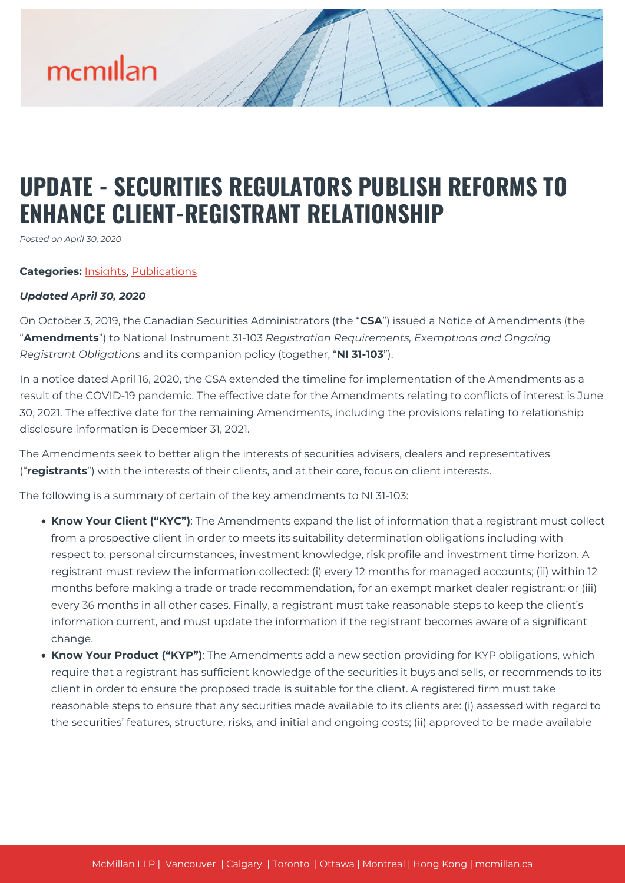# mcmillan

### **UPDATE - SECURITIES REGULATORS PUBLISH REFORMS TO ENHANCE CLIENT-REGISTRANT RELATIONSHIP**

*Posted on April 30, 2020*

#### **Categories:** [Insights,](https://mcmillan.ca/insights/) [Publications](https://mcmillan.ca/insights/publications/)

#### *Updated April 30, 2020*

On October 3, 2019, the Canadian Securities Administrators (the "**CSA**") issued a Notice of Amendments (the "**Amendments**") to National Instrument 31-103 *Registration Requirements, Exemptions and Ongoing Registrant Obligations* and its companion policy (together, "**NI 31-103**").

In a notice dated April 16, 2020, the CSA extended the timeline for implementation of the Amendments as a result of the COVID-19 pandemic. The effective date for the Amendments relating to conflicts of interest is June 30, 2021. The effective date for the remaining Amendments, including the provisions relating to relationship disclosure information is December 31, 2021.

The Amendments seek to better align the interests of securities advisers, dealers and representatives ("**registrants**") with the interests of their clients, and at their core, focus on client interests.

The following is a summary of certain of the key amendments to NI 31-103:

- **Know Your Client ("KYC")**: The Amendments expand the list of information that a registrant must collect from a prospective client in order to meets its suitability determination obligations including with respect to: personal circumstances, investment knowledge, risk profile and investment time horizon. A registrant must review the information collected: (i) every 12 months for managed accounts; (ii) within 12 months before making a trade or trade recommendation, for an exempt market dealer registrant; or (iii) every 36 months in all other cases. Finally, a registrant must take reasonable steps to keep the client's information current, and must update the information if the registrant becomes aware of a significant change.
- **Know Your Product ("KYP")**: The Amendments add a new section providing for KYP obligations, which require that a registrant has sufficient knowledge of the securities it buys and sells, or recommends to its client in order to ensure the proposed trade is suitable for the client. A registered firm must take reasonable steps to ensure that any securities made available to its clients are: (i) assessed with regard to the securities' features, structure, risks, and initial and ongoing costs; (ii) approved to be made available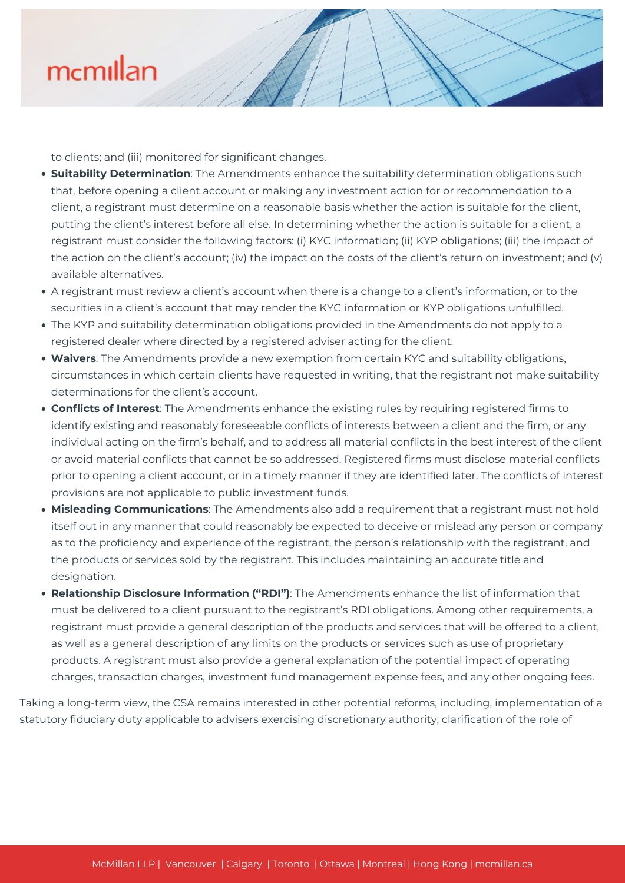## mcmillan

to clients; and (iii) monitored for significant changes.

- **Suitability Determination**: The Amendments enhance the suitability determination obligations such that, before opening a client account or making any investment action for or recommendation to a client, a registrant must determine on a reasonable basis whether the action is suitable for the client, putting the client's interest before all else. In determining whether the action is suitable for a client, a registrant must consider the following factors: (i) KYC information; (ii) KYP obligations; (iii) the impact of the action on the client's account; (iv) the impact on the costs of the client's return on investment; and (v) available alternatives.
- A registrant must review a client's account when there is a change to a client's information, or to the securities in a client's account that may render the KYC information or KYP obligations unfulfilled.
- The KYP and suitability determination obligations provided in the Amendments do not apply to a registered dealer where directed by a registered adviser acting for the client.
- **Waivers**: The Amendments provide a new exemption from certain KYC and suitability obligations, circumstances in which certain clients have requested in writing, that the registrant not make suitability determinations for the client's account.
- **Conflicts of Interest**: The Amendments enhance the existing rules by requiring registered firms to identify existing and reasonably foreseeable conflicts of interests between a client and the firm, or any individual acting on the firm's behalf, and to address all material conflicts in the best interest of the client or avoid material conflicts that cannot be so addressed. Registered firms must disclose material conflicts prior to opening a client account, or in a timely manner if they are identified later. The conflicts of interest provisions are not applicable to public investment funds.
- **Misleading Communications**: The Amendments also add a requirement that a registrant must not hold itself out in any manner that could reasonably be expected to deceive or mislead any person or company as to the proficiency and experience of the registrant, the person's relationship with the registrant, and the products or services sold by the registrant. This includes maintaining an accurate title and designation.
- **Relationship Disclosure Information ("RDI")**: The Amendments enhance the list of information that must be delivered to a client pursuant to the registrant's RDI obligations. Among other requirements, a registrant must provide a general description of the products and services that will be offered to a client, as well as a general description of any limits on the products or services such as use of proprietary products. A registrant must also provide a general explanation of the potential impact of operating charges, transaction charges, investment fund management expense fees, and any other ongoing fees.

Taking a long-term view, the CSA remains interested in other potential reforms, including, implementation of a statutory fiduciary duty applicable to advisers exercising discretionary authority; clarification of the role of